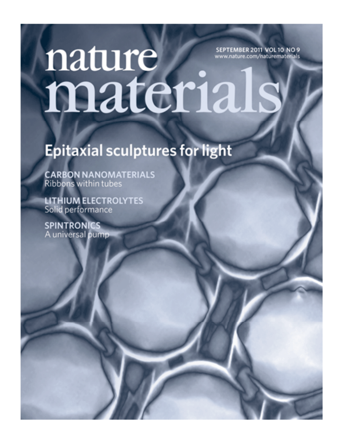# nature SEPTEMBER 2011 VOL 10 NO 9 www.nature.com/naturematerials materials

## **Epitaxial sculptures for light**

**CARBON NANOMATERIALS** Ribbons within tubes

**LITHIUM ELECTROLYTES** Solid performance

**SPINTRONICS** A universal pump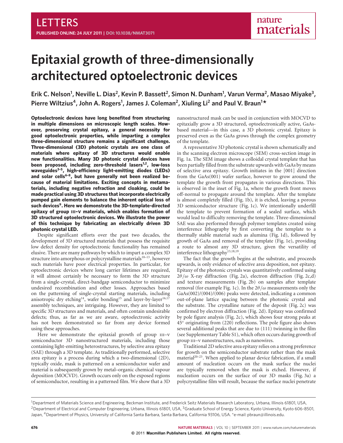## **Epitaxial growth of three-dimensionally architectured optoelectronic devices**

Erik C. Nelson<sup>1</sup>, Neville L. Dias<sup>2</sup>, Kevin P. Bassett<sup>2</sup>, Simon N. Dunham<sup>1</sup>, Varun Verma<sup>2</sup>, Masao Miyake<sup>3</sup>, **Pierre Wiltzius4, John A. Rogers1 , James J. Coleman2, Xiuling Li2 and Paul V. Braun1 \***

**Optoelectronic devices have long benefited from structuring in multiple dimensions on microscopic length scales. However, preserving crystal epitaxy, a general necessity for good optoelectronic properties, while imparting a complex three-dimensional structure remains a significant challenge. Three-dimensional (3D) photonic crystals are one class of materials where epitaxy of 3D structures would enable new functionalities. Many 3D photonic crystal devices have** been proposed, including zero-threshold lasers<sup>1,2</sup>, low-loss **waveguides3–5, high-efficiency light-emitting diodes (LEDs)** and solar cells<sup>6-8</sup>, but have generally not been realized be**cause of material limitations. Exciting concepts in metamaterials, including negative refraction and cloaking, could be made practical using 3D structures that incorporate electrically pumped gain elements to balance the inherent optical loss of such devices9. Here we demonstrate the 3D-template-directed epitaxy of group III–V materials, which enables formation of 3D structured optoelectronic devices. We illustrate the power of this technique by fabricating an electrically driven 3D photonic crystal LED.**

Despite significant efforts over the past two decades, the development of 3D structured materials that possess the requisite low defect density for optoelectronic functionality has remained elusive. There are many pathways by which to impart a complex 3D structure into amorphous or polycrystalline materials $10-13$ , however such materials have poor electrical properties. In particular, for optoelectronic devices where long carrier lifetimes are required, it will almost certainly be necessary to form the 3D structure from a single-crystal, direct-bandgap semiconductor to minimize undesired recombination and other losses. Approaches based on the patterning of single-crystal starting materials, including anisotropic dry etching<sup>14</sup>, wafer bonding<sup>15</sup> and layer-by-layer<sup>16,17</sup> assembly techniques, are intriguing. However, they are limited to specific 3D structures and materials, and often contain undesirable defects; thus, as far as we are aware, optoelectronic activity has not been demonstrated so far from any device formed using these approaches.

Here we demonstrate the epitaxial growth of group III-V semiconductor 3D nanostructured materials, including those containing light-emitting heterostructures, by selective area epitaxy (SAE) through a 3D template. As traditionally performed, selective area epitaxy is a process during which a two-dimensional (2D), typically oxide, mask is patterned on a semiconductor wafer and material is subsequently grown by metal–organic chemical vapour deposition (MOCVD). Growth occurs only on the exposed regions of semiconductor, resulting in a patterned film. We show that a 3D

nanostructured mask can be used in conjunction with MOCVD to epitaxially grow a 3D structured, optoelectronically active, GaAsbased material—in this case, a 3D photonic crystal. Epitaxy is preserved even as the GaAs grows through the complex geometry of the template.

A representative 3D photonic crystal is shown schematically and in the scanning electron microscope (SEM) cross-section image in Fig. 1a. The SEM image shows a colloidal crystal template that has been partially filled from the substrate upwards with GaAs by means of selective area epitaxy. Growth initiates in the [001] direction from the GaAs(001) wafer surface, however to grow around the template the growth front propagates in various directions. This is observed in the inset of Fig. 1a, where the growth front moves off-normal to propagate around the template. After the template is almost completely filled (Fig. 1b), it is etched, leaving a porous 3D semiconductor structure (Fig. 1c). We intentionally underfill the template to prevent formation of a sealed surface, which would lead to difficulty removing the template. Three-dimensional SAE was also performed through polymer templates created using interference lithography by first converting the template to a thermally stable material such as alumina (Fig. 1d), followed by growth of GaAs and removal of the template (Fig. 1e), providing a route to almost any 3D structure, given the versatility of interference lithography<sup>13,18,19</sup>.

The fact that the growth begins at the substrate, and proceeds upwards, is only evidence of selective area deposition, not epitaxy. Epitaxy of the photonic crystals was quantitatively confirmed using  $2\theta/\omega$  X-ray diffraction (Fig. 2a), electron diffraction (Fig. 2c,d) and texture measurements (Fig. 2b) on samples after template removal (for example Fig. 1c). In the  $2\theta/\omega$  measurements only the GaAs(002)/(004)/(006) peaks were detected, indicating a common out-of-plane lattice spacing between the photonic crystal and the substrate. The crystalline nature of the deposit (Fig. 2c) was confirmed by electron diffraction (Fig. 2d). Epitaxy was confirmed by pole figure analysis (Fig. 2c), which shows four strong peaks at 45◦ originating from (220) reflections. The pole figure also shows several additional peaks that are due to (111) twinning in the film (see Supplementary Table S1), which often occurs during growth of group iii–v nanostructures, such as nanowires.

Traditional 2D selective area epitaxy relies on a strong preference for growth on the semiconductor substrate rather than the mask material<sup>20–23</sup>. When applied to planar device fabrication, if a small amount of nucleation occurs on the mask surface the nuclei are typically removed when the mask is etched. However, if nucleation occurs on the surface of our 3D masks (Fig. 3a) a polycrystalline film will result, because the surface nuclei penetrate

<sup>&</sup>lt;sup>1</sup> Department of Materials Science and Engineering, Beckman Institute, and Frederick Seitz Materials Research Laboratory, Urbana, Illinois 61801, USA, <sup>2</sup> Department of Electrical and Computer Engineering, Urbana, Illinois 61801, USA, <sup>3</sup>Graduate School of Energy Science, Kyoto University, Kyoto 606-8501, Japan, <sup>4</sup>Department of Physics, University of California Santa Barbara, Santa Barbara, California 93106, USA. \*e-mail: pbraun@illinois.edu.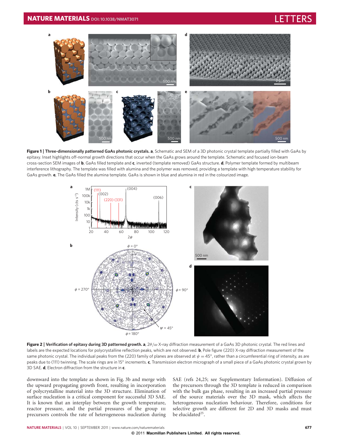

**Figure 1 | Three-dimensionally patterned GaAs photonic crystals. a**, Schematic and SEM of a 3D photonic crystal template partially filled with GaAs by epitaxy. Inset highlights off-normal growth directions that occur when the GaAs grows around the template. Schematic and focused ion-beam cross-section SEM images of **b**, GaAs filled template and **c**, inverted (template removed) GaAs structure. **d**, Polymer template formed by multibeam interference lithography. The template was filled with alumina and the polymer was removed, providing a template with high temperature stability for GaAs growth. **e**, The GaAs filled the alumina template. GaAs is shown in blue and alumina in red in the colourized image.



**Figure 2 | Verification of epitaxy during 3D patterned growth. a**, 2θ/ω X-ray diffraction measurement of a GaAs 3D photonic crystal. The red lines and labels are the expected locations for polycrystalline reflection peaks, which are not observed. **b**, Pole figure (220) X-ray diffraction measurement of the same photonic crystal. The individual peaks from the (220) family of planes are observed at  $\psi = 45^\circ$ , rather than a circumferential ring of intensity, as are peaks due to (111) twinning. The scale rings are in 15◦ increments. **c**, Transmission electron micrograph of a small piece of a GaAs photonic crystal grown by 3D SAE. **d**, Electron diffraction from the structure in **c**.

downward into the template as shown in Fig. 3b and merge with the upward propagating growth front, resulting in incorporation of polycrystalline material into the 3D structure. Elimination of surface nucleation is a critical component for successful 3D SAE. It is known that an interplay between the growth temperature, reactor pressure, and the partial pressures of the group III precursors controls the rate of heterogeneous nucleation during SAE (refs 24,25; see Supplementary Information). Diffusion of the precursors through the 3D template is reduced in comparison with the bulk gas phase, resulting in an increased partial pressure of the source materials over the 3D mask, which affects the heterogeneous nucleation behaviour. Therefore, conditions for selective growth are different for 2D and 3D masks and must be elucidated $25$ .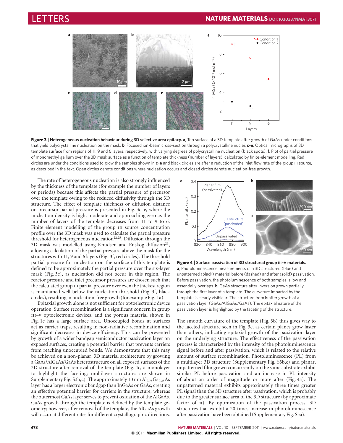

**Figure 3 | Heterogeneous nucleation behaviour during 3D selective area epitaxy. a**, Top surface of a 3D template after growth of GaAs under conditions that yield polycrystalline nucleation on the mask. **b**, Focused ion-beam cross-section through a polycrystalline nuclei. **c**–**e**, Optical micrographs of 3D template surface from regions of 11, 9 and 6 layers, respectively, with varying degrees of polycrystalline nucleation (black spots). **f**, Plot of partial pressure of monomethyl gallium over the 3D mask surface as a function of template thickness (number of layers), calculated by finite-element modelling. Red circles are under the conditions used to grow the samples shown in **c**–**e** and black circles are after a reduction of the inlet flow rate of the group III source, as described in the text. Open circles denote conditions where nucleation occurs and closed circles denote nucleation-free growth.

The rate of heterogeneous nucleation is also strongly influenced by the thickness of the template (for example the number of layers or periods) because this affects the partial pressure of precursor over the template owing to the reduced diffusivity through the 3D structure. The effect of template thickness or diffusion distance on precursor partial pressure is presented in Fig. 3c–e, where the nucleation density is high, moderate and approaching zero as the number of layers of the template decreases from 11 to 9 to 6. Finite element modelling of the group III source concentration profile over the 3D mask was used to calculate the partial pressure threshold for heterogeneous nucleation<sup>22,25</sup>. Diffusion through the 3D mask was modelled using Knudsen and Enskog diffusion<sup>26</sup>, allowing calculation of the partial pressure above the mask for the structures with 11, 9 and 6 layers (Fig. 3f, red circles). The threshold partial pressure for nucleation on the surface of this template is defined to be approximately the partial pressure over the six-layer mask (Fig. 3e), as nucleation did not occur in this region. The reactor pressure and inlet precursor pressures are chosen such that the calculated group III partial pressure over even the thickest region is maintained well below the nucleation threshold (Fig. 3f, black circles), resulting in nucleation-free growth (for example Fig. 1a).

Epitaxial growth alone is not sufficient for optoelectronic device operation. Surface recombination is a significant concern in group III-v optoelectronic devices, and the porous material shown in Fig. 1c has a large surface area. Unoccupied bonds at surfaces act as carrier traps, resulting in non-radiative recombination and significant decreases in device efficiency. This can be prevented by growth of a wider bandgap semiconductor passivation layer on exposed surfaces, creating a potential barrier that prevents carriers from reaching unoccupied bonds. We demonstrate that this may be achieved on a non-planar, 3D material architecture by growing a GaAs/AlGaAs/GaAs heterostructure on all exposed surfaces of the 3D structure after removal of the template (Fig. 4c, a monolayer to highlight the faceting; multilayer structures are shown in Supplementary Fig. S3b,c). The approximately 10 nm  $Al<sub>0.75</sub>Ga<sub>0.25</sub>As$ layer has a larger electronic bandgap than InGaAs or GaAs, creating an effective potential barrier for carriers in the structure, whereas the outermost GaAs layer serves to prevent oxidation of the AlGaAs. GaAs growth through the template is defined by the template geometry; however, after removal of the template, the AlGaAs growth will occur at different rates for different crystallographic directions.



**Figure 4 | Surface passivation of 3D structured group III–V materials. a**, Photoluminescence measurements of a 3D structured (blue) and unpatterned (black) material before (dashed) and after (solid) passivation. Before passivation, the photoluminescence of both samples is low and essentially overlaps. **b**, GaAs structure after inversion grown partially through the first layer of a template. The curvature imparted by the template is clearly visible. **c**, The structure from **b** after growth of a passivation layer (GaAs/AlGaAs/GaAs). The epitaxial nature of the passivation layer is highlighted by the faceting of the structure.

The smooth curvature of the template (Fig. 3b) thus gives way to the faceted structure seen in Fig. 3c, as certain planes grow faster than others, indicating epitaxial growth of the passivation layer on the underlying structure. The effectiveness of the passivation process is characterized by the intensity of the photoluminescence signal before and after passivation, which is related to the relative amount of surface recombination. Photoluminescence (PL) from a multilayer 3D structure (Supplementary Fig. S3b,c) and planar, unpatterned film grown concurrently on the same substrate exhibit similar PL before passivation and an increase in PL intensity of about an order of magnitude or more after (Fig. 4a). The unpatterned material exhibits approximately three times greater PL signal than the 3D structure after passivation, which is probably due to the greater surface area of the 3D structure (by approximate factor of  $\pi$ ). By optimization of the passivation process, 3D structures that exhibit a 20 times increase in photoluminescence after passivation have been obtained (Supplementary Fig. S3a).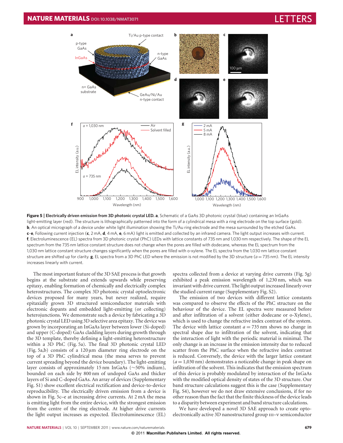

**Figure 5 | Electrically driven emission from 3D photonic crystal LED. a**, Schematic of a GaAs 3D photonic crystal (blue) containing an InGaAs light-emitting layer (red). The structure is lithographically patterned into the form of a cylindrical mesa with a ring electrode on the top surface (gold). **b**, An optical micrograph of a device under white light illumination showing the Ti/Au ring electrode and the mesa surrounded by the etched GaAs. **c**–**e**, Following current injection (**c**, 2 mA, **d**, 4 mA, **e**, 6 mA) light is emitted and collected by an infrared camera. The light output increases with current. **f**, Electroluminescence (EL) spectra from 3D photonic crystal (PhC) LEDs with lattice constants of 735 nm and 1,030 nm respectively. The shape of the EL spectrum from the 735 nm lattice constant structure does not change when the pores are filled with dodecane, whereas the EL spectrum from the 1,030 nm lattice constant structure changes significantly when the pores are filled with o-xylene. The EL spectra from the 1,030 nm lattice constant structure are shifted up for clarity. **g**, EL spectra from a 3D PhC LED where the emission is not modified by the 3D structure (*a* = 735 nm). The EL intensity increases linearly with current.

The most important feature of the 3D SAE process is that growth begins at the substrate and extends upwards while preserving epitaxy, enabling formation of chemically and electrically complex heterostructures. The complex 3D photonic crystal optoelectronic devices proposed for many years, but never realized, require epitaxially grown 3D structured semiconductor materials with electronic dopants and embedded light-emitting (or collecting) heterojunctions. We demonstrate such a device by fabricating a 3D photonic crystal LED using 3D selective area epitaxy. The device was grown by incorporating an InGaAs layer between lower (Si-doped) and upper (C-doped) GaAs cladding layers during growth through the 3D template, thereby defining a light-emitting heterostructure within a 3D PhC (Fig. 5a). The final 3D photonic crystal LED (Fig. 5a,b) consists of a 120 μm diameter ring electrode on the top of a 3D PhC cylindrical mesa (the mesa serves to prevent current spreading beyond the device boundary). The light-emitting layer consists of approximately 15 nm InGaAs (∼50% indium), bounded on each side by 800 nm of undoped GaAs and thicker layers of Si and C-doped GaAs. An array of devices (Supplementary Fig. S1) show excellent electrical rectification and device-to-device reproducibility. The electrically driven emission from a device is shown in Fig. 5c–e at increasing drive currents. At 2 mA the mesa is emitting light from the entire device, with the strongest emission from the centre of the ring electrode. At higher drive currents the light output increases as expected. Electroluminescence (EL)

spectra collected from a device at varying drive currents (Fig. 5g) exhibited a peak emission wavelength of 1,230 nm, which was invariant with drive current. The light output increased linearly over the studied current range (Supplementary Fig. S2).

The emission of two devices with different lattice constants was compared to observe the effects of the PhC structure on the behaviour of the device. The EL spectra were measured before and after infiltration of a solvent (either dodecane or o-Xylene), which is used to change the refractive index contrast of the system. The device with lattice constant  $a = 735$  nm shows no change in spectral shape due to infiltration of the solvent, indicating that the interaction of light with the periodic material is minimal. The only change is an increase in the emission intensity due to reduced scatter from the PhC surface when the refractive index contrast is reduced. Conversely, the device with the larger lattice constant (*a* = 1,030 nm) demonstrates a noticeable change in peak shape on infiltration of the solvent. This indicates that the emission spectrum of this device is probably modulated by interaction of the InGaAs with the modified optical density of states of the 3D structure. Our band structure calculations suggest this is the case (Supplementary Fig. S4), however we do not draw extensive conclusions, if for no other reason than the fact that the finite thickness of the device leads to a disparity between experiment and band structure calculations.

We have developed a novel 3D SAE approach to create optoelectronically active 3D nanostructured group III-v semiconductor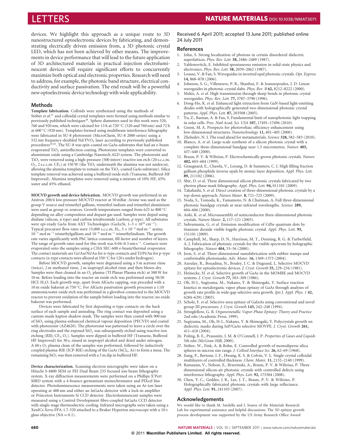devices. We highlight this approach as a unique route to 3D nanostructured optoelectronic devices by fabricating, and demonstrating electrically driven emission from, a 3D photonic crystal LED, which has not been achieved by other means. The improvements in device performance that will lead to the future application of 3D architectured materials in practical injection electroluminescent devices will require significant efforts to concurrently maximize both optical and electronic properties. Research will need to address, for example, the photonic band structure, electrical conductivity and surface passivation. The end result will be a powerful new optoelectronic device technology with wide applicability.

### **Methods**

**Template fabrication.** Colloids were synthesized using the methods of Stöber *et al.*<sup>27</sup> and colloidal crystal templates were formed using methods similar to previously published techniques<sup>28</sup>. Sphere diameters used in this work were 520, 760 and 920 nm, which were calcined for 13 h at 720 ◦C (520 and 760 nm) and 72 h at 600 ◦C (920 nm). Templates formed using multibeam interference lithography were fabricated in SU-8 photoresist (MicroChem, SU-8 2000 series) using a 532 nm frequency-doubled Nd:YVO4 laser according to previously published procedures<sup>29,30</sup>. The SU-8 was spin-coated on GaAs substrates that had an e-beam evaporated TiO<sub>2</sub> antireflection coating. Photoresist templates were converted to aluminium oxide using a Cambridge Nanotech ALD system. The photoresist and TiO<sub>2</sub> were removed using a high-pressure (500 mtorr) reactive ion etch (20 s.c.c.m.  $O_2$ , 2 s.c.c.m. CF<sub>4</sub>) at 150 W (the TiO<sub>2</sub> underneath the alumina was not undercut, allowing the alumina template to remain on the  $TiO<sub>2</sub>$ -coated GaAs substrate). Silica template removal was achieved using a buffered oxide etch (Transene, Buffered-HF Improved). Alumina templates were removed using a mixture of 10% HF, 45% water and 45% ethanol.

**MOCVD growth and device fabrication.** MOCVD growth was performed in an Aixtron 200/4 low-pressure MOCVD reactor at 50 mBar. Arsine was used as the group V source and trimethyl gallium, trimethyl indium and trimethyl aluminium were used as group III sources. Growth temperatures ranged from 625 to 800 °C depending on alloy composition and dopant gas used. Samples were doped using disilane (silicon, n type) and carbon tetrabromide (carbon, p type). All substrates were epi-ready GaAs from AXT Technologies (GaAs:Si, 1–3×1018 cm−3). Typical precursor flow rates were 15,000 s.c.c.m. H<sub>2</sub>,  $5 \times 10^{-4}$  mol m<sup>-1</sup> arsine, 10−<sup>5</sup> mol m−<sup>1</sup> trimethylgallium and 10−<sup>6</sup> mol m−<sup>1</sup> trimethylindium. The growth rate varies significantly with PhC lattice constant, fill factor and number of layers. The range of growth rates used for this work was 0.04–0.5 nm s−1. Contacts were evaporated onto the samples using a CHA SEC-600 e-beam/thermal evaporator. The contact materials are Ge/Au/Ni/Au for n-type contacts and Ti/Pt/Au for p-type contacts (n-type contacts were alloyed at 350 ◦C for 120 s under hydrogen).

Before MOCVD growth, samples were degreased using a 5 m acetone rinse (twice), 2 m methanol rinse, 2 m isopropyl alcohol rinse and then blown dry. Samples were then cleaned in an  $O_2$  plasma (TI Planar Plasma etch) at 300 W for 10 m. Before loading into the reactor an oxide etch was performed using 50:50 HCl: H<sub>2</sub>O. Each growth step, apart from AlGaAs capping, was preceded with a 10 m oxide bakeout at 750 ◦C. For AlGaAs passivation growth processes a 1:10 ammonia:water oxide etch was performed in a glovebox connected to the MOCVD reactor to prevent oxidation of the sample before loading into the reactor; no oxide bakeout was performed.

Devices were fabricated by first depositing n-type contacts on the back surface of each sample and annealing. The ring contact was deposited using a custom-made kapton shadow mask. The samples were then coated with 900 nm of SiO2 using plasma-enhanced chemical vapour deposition (PECVD) and coated with photoresist (AZ4620). The photoresist was patterned to leave a circle over the ring electrodes and the exposed  $SiO<sub>2</sub>$  was subsequently etched using reactive-ion etching (RIE; CF4,O2). Samples were dipped in buffered HF (Transene, Buffered HF Improved) for 30 s, rinsed in isopropyl alcohol and dried under nitrogen. A 60 s O2 plasma clean of the samples was performed, followed by inductively coupled plasma-RIE (ICP-RIE) etching of the GaAs (SiCl4, Ar) to form a mesa. The remaining  $SiO<sub>2</sub>$  was then removed with a 5 m dip in buffered HF.

**Device characterization.** Scanning electron micrographs were taken on a Hitachi S-4800 SEM or FEI Dual Beam 235 focused ion-beam lithography system. X-ray diffraction measurements were performed on a Phillips X'Pert MRD system with a 4-bounce germanium monochromator and PIXcel line detector. Photoluminescence measurements were taken using an Ar-ion laser operating at 488 nm and either an InGaAs detector with a lock-in amplifier or Princeton Instruments Si CCD detector. Electroluminescent samples were measured using a Control Development fibre-coupled InGaAs CCD detector with single-stage thermoelectric cooling. Infrared micrographs were taken using a XenICs Xeva-FPA-1.7-320 attached to a Bruker Hyperion microscope with a 10× glass objective  $(NA = 0.1)$ .

#### Received 6 April 2011; accepted 13 June 2011; published online 24 July 2011

#### **References**

- 1. John, S. Strong localization of photons in certain disordered dielectric superlattices. *Phys. Rev. Lett.* **58,** 2486–2489 (1987).
- Yablonovitch, E. Inhibited spontaneous emission in solid-state physics and electronics. *Phys. Rev. Lett.* **58,** 2059–2062 (1987).
- 3. Lousse, V. & Fan, S. Waveguides in inverted opal photonic crystals. *Opt. Express* **14,** 868–878 (2006).
- 4. Johnson, S. G., Villeneuve, P. R., Shanhui, F. & Joannopoulos, J. D. Linear waveguides in photonic-crystal slabs. *Phys. Rev. B* **62,** 8212–8222 (2000).
- 5. Mekis, A. *et al*. High transmission through sharp bends in photonic crystal waveguides. *Phys. Rev. Lett.* **77,** 3787–3790 (1996).
- 6. Dong-Ho, K. *et al*. Enhanced light extraction from GaN-based light-emitting diodes with holographically generated two-dimensional photonic crystal patterns. *Appl. Phys. Lett.* **87,** 203508 (2005).
- 7. Yu, Z., Raman, A. & Fan, S. Fundamental limit of nanophotonic light trapping in solar cells. *Proc. Natl Acad. Sci. USA* **107,** 17491–17496 (2010).
- 8. Green, M. A. Prospects for photovoltaic efficiency enhancement using low-dimensional structures. *Nanotechnology* **11,** 401–405 (2000).
- 9. Zheludev, N. I. The road ahead for metamaterials. *Science* **328,** 582–583 (2010). 10. Blanco, A. *et al*. Large-scale synthesis of a silicon photonic crystal with a
- complete three-dimensional bandgap near 1.5 micrometres. *Nature* **405,** 437–440 (2000).
- 11. Braun, P. V. & Wiltzius, P. Electrochemically grown photonic crystals. *Nature* **402,** 603–604 (1999).
- 12. Graugnard, E., Chawla, V., Lorang, D. & Summers, C. J. High filling fraction gallium phosphide inverse opals by atomic layer deposition. *Appl. Phys. Lett.* **89,** 211102 (2006).
- 13. Shir, D. *et al*. Three dimensional silicon photonic crystals fabricated by two photon phase mask lithography. *Appl. Phys. Lett.* **94,** 011101 (2009).
- 14. Takahashi, S. *et al*. Direct creation of three-dimensional photonic crystals by a top-down approach. *Nature Mater.* **8,** 721–725 (2009).
- 15. Noda, S., Tomoda, K., Yamamoto, N. & Chutinan, A. Full three-dimensional photonic bandgap crystals at near-infrared wavelengths. *Science* **289,** 604–606 (2000).
- 16. Aoki, K. *et al*. Microassembly of semiconductor three-dimensional photonic crystals. *Nature Mater.* **2,** 117–121 (2003).
- 17. Subramania, G. *et al*. Emission modification of CdSe quantum dots by titanium dioxide visible logpile photonic crystal. *Appl. Phys. Lett.* **95,** 151101 (2009).
- 18. Campbell, M., Sharp, D. N., Harrison, M. T., Denning, R. G. & Turberfield, A. J. Fabrication of photonic crystals for the visible spectrum by holographic lithography. *Nature* **404,** 53–56 (2000).
- 19. Jeon, S. *et al*. Three-dimensional nanofabrication with rubber stamps and conformable photomasks. *Adv. Mater.* **16,** 1369–1373 (2004).
- 20. Azoulay, R., Bouadma, N., Bouley, J. C. & Dugrand, L. Selective MOCVD epitaxy for optoelectronic devices. *J. Cryst. Growth* **55,** 229–234 (1981).
- 21. Heinecke, H. *et al*. Selective growth of GaAs in the MOMBE and MOCVD systems. *J. Cryst. Growth* **77,** 303–309 (1986).
- 22. Oh, H-J., Sugiyama, M., Nakano, Y. & Shimogaki, Y. Surface reaction kinetics in metalorganic vapor phase epitaxy of GaAs through analyses of growth rate profile in wide-gap selective-area growth. *Jpn J. Appl. Phys. 1* **42,** 6284–6291 (2003).
- 23. Scholz, F. *et al*. Selective-area epitaxy of GaInAs using conventional and novel group-III precursors. *J. Cryst. Growth* **145,** 242–248 (1994).
- 24. Stringfellow, G. B. *Organometallic Vapor-Phase Epitaxy: Theory and Practice* 2nd edn (Academic Press, 1999).
- 25. Sugiyama, M., Oh, H-J., Nakano, Y. & Shimogaki, Y. Polycrystals growth on dielectric masks during InP/GaAs selective MOVPE. *J. Cryst. Growth* **261,** 411–418 (2004).
- 26. Poling, B. E., Prausnitz, J. M. & O'Connell, J. P. *Properties of Gases and Liquids* 5th edn (McGraw-Hill, 2000).
- 27. Stöber, W., Fink, A. & Bohn, E. Controlled growth of monodiperse silica spheres in micron size range. *J. Colloid Interface Sci.* **26,** 62–69 (1968).
- 28. Jiang, P., Bertone, J. F., Hwang, K. S. & Colvin, V. L. Single-crystal colloidal multilayers of controlled thickness. *Chem. Mater.* **11,** 2132–2140 (1999).
- 29. Ramanan, V., Nelson, E., Brzezinski, A., Braun, P. V. & Wiltzius, P. Three dimensional silicon-air photonic crystals with controlled defects using interference lithography. *Appl. Phys. Lett.* **92,** 173304 (2008).
- 30. Chen, Y. C., Geddes, J. B., Lee, J. T., Braun, P. V. & Wiltzius, P. Holographically fabricated photonic crystals with large reflectance. *Appl. Phys. Lett.* **91,** 241103 (2007).

## **Acknowledgements**

We would like to thank M. Sardella and J. Soares of the Materials Research Lab for experimental assistance and helpful discussions. The 3D epitaxy growth process development was supported by the US Army Research Office Award